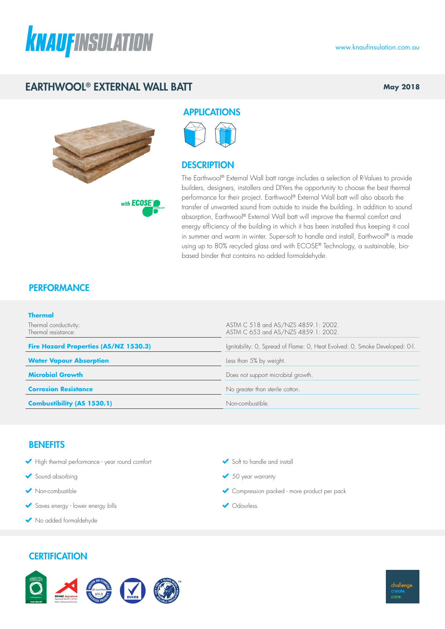

# EARTHWOOL® EXTERNAL WALL BATT

**May 2018**



with **ECOSE** 

APPLICATIONS

### **DESCRIPTION**

The Earthwool® External Wall batt range includes a selection of R-Values to provide builders, designers, installers and DIYers the opportunity to choose the best thermal performance for their project. Earthwool® External Wall batt will also absorb the transfer of unwanted sound from outside to inside the building. In addition to sound absorption, Earthwool® External Wall batt will improve the thermal comfort and energy efficiency of the building in which it has been installed thus keeping it cool in summer and warm in winter. Super-soft to handle and install, Earthwool® is made using up to 80% recycled glass and with ECOSE® Technology, a sustainable, biobased binder that contains no added formaldehyde.

## **PERFORMANCE**

| <b>Thermal</b>                               |                                                                             |
|----------------------------------------------|-----------------------------------------------------------------------------|
| Thermal conductivity:<br>Thermal resistance: | ASTM C 518 and AS/NZS 4859.1: 2002.<br>ASTM C 653 and AS/NZS 4859.1: 2002.  |
| <b>Fire Hazard Properties (AS/NZ 1530.3)</b> | Ignitability: O, Spread of Flame: O, Heat Evolved: O, Smoke Developed: O-1. |
| <b>Water Vapour Absorption</b>               | Less than 5% by weight.                                                     |
| <b>Microbial Growth</b>                      | Does not support microbial growth.                                          |
| <b>Corrosion Resistance</b>                  | No greater than sterile cotton.                                             |
| <b>Combustibility (AS 1530.1)</b>            | Non-combustible.                                                            |

### **BENEFITS**

- High thermal performance year round comfort
- Sound absorbing
- Non-combustible
- Saves energy lower energy bills
- No added formaldehyde

### **CERTIFICATION**



- Soft to handle and install
- ◆ 50 year warranty
- Compression packed more product per pack
- Odourless.

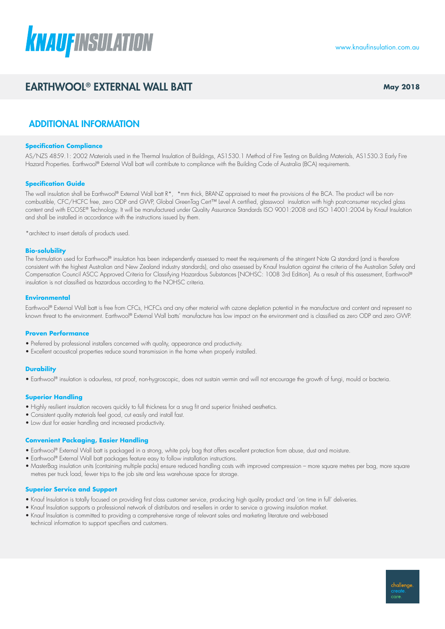

# EARTHWOOL® EXTERNAL WALL BATT **May 2018** May 2018

### ADDITIONAL INFORMATION

#### **Specification Compliance**

AS/NZS 4859.1: 2002 Materials used in the Thermal Insulation of Buildings, AS1530.1 Method of Fire Testing on Building Materials, AS1530.3 Early Fire Hazard Properties. Earthwool® External Wall batt will contribute to compliance with the Building Code of Australia (BCA) requirements.

#### **Specification Guide**

The wall insulation shall be Earthwool® External Wall batt R\*, \*mm thick, BRANZ appraised to meet the provisions of the BCA. The product will be noncombustible, CFC/HCFC free, zero ODP and GWP, Global GreenTag Cert™ Level A certified, glasswool insulation with high post-consumer recycled glass content and with ECOSE® Technology. It will be manufactured under Quality Assurance Standards ISO 9001:2008 and ISO 14001:2004 by Knauf Insulation and shall be installed in accordance with the instructions issued by them.

\*architect to insert details of products used.

#### **Bio-solubility**

The formulation used for Earthwool® insulation has been independently assessed to meet the requirements of the stringent Note Q standard (and is therefore consistent with the highest Australian and New Zealand industry standards), and also assessed by Knauf Insulation against the criteria of the Australian Safety and Compensation Council ASCC Approved Criteria for Classifying Hazardous Substances [NOHSC: 1008 3rd Edition]. As a result of this assessment, Earthwool® insulation is not classified as hazardous according to the NOHSC criteria.

#### **Environmental**

Earthwool® External Wall batt is free from CFCs, HCFCs and any other material with ozone depletion potential in the manufacture and content and represent no known threat to the environment. Earthwool® External Wall batts' manufacture has low impact on the environment and is classified as zero ODP and zero GWP.

#### **Proven Performance**

- Preferred by professional installers concerned with quality, appearance and productivity.
- Excellent acoustical properties reduce sound transmission in the home when properly installed.

#### **Durability**

• Earthwool® insulation is odourless, rot proof, non-hygroscopic, does not sustain vermin and will not encourage the growth of fungi, mould or bacteria.

#### **Superior Handling**

- Highly resilient insulation recovers quickly to full thickness for a snug fit and superior finished aesthetics.
- Consistent quality materials feel good, cut easily and install fast.
- Low dust for easier handling and increased productivity.

#### **Convenient Packaging, Easier Handling**

- Earthwool® External Wall batt is packaged in a strong, white poly bag that offers excellent protection from abuse, dust and moisture.
- Earthwool® External Wall batt packages feature easy to follow installation instructions.
- MasterBag insulation units (containing multiple packs) ensure reduced handling costs with improved compression more square metres per bag, more square metres per truck load, fewer trips to the job site and less warehouse space for storage.

#### **Superior Service and Support**

- Knauf Insulation is totally focused on providing first class customer service, producing high quality product and 'on time in full' deliveries.
- Knauf Insulation supports a professional network of distributors and re-sellers in order to service a growing insulation market.
- Knauf Insulation is committed to providing a comprehensive range of relevant sales and marketing literature and web-based technical information to support specifiers and customers.